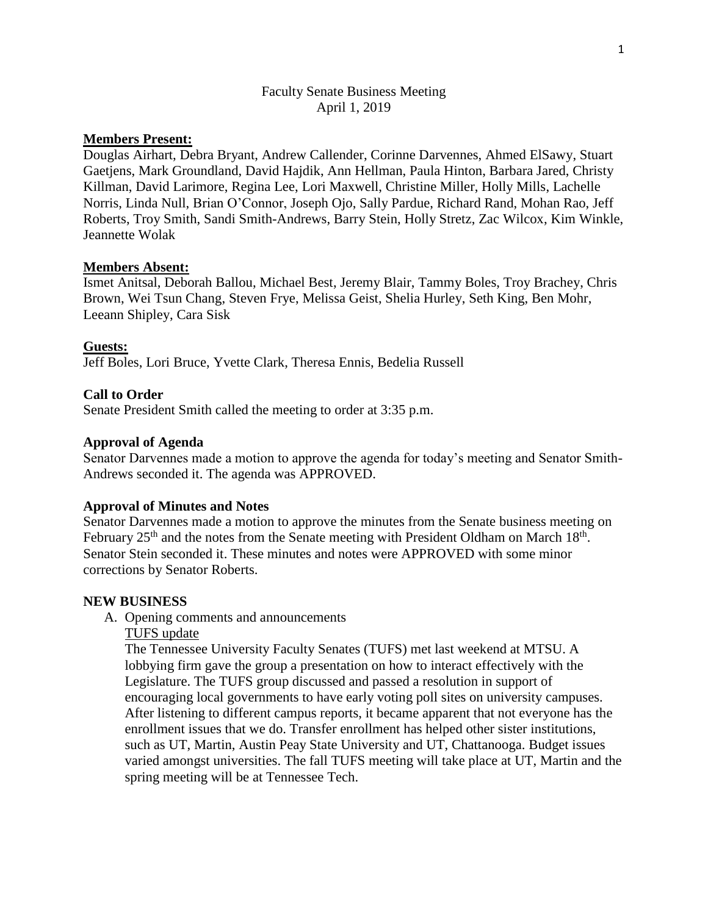## Faculty Senate Business Meeting April 1, 2019

# **Members Present:**

Douglas Airhart, Debra Bryant, Andrew Callender, Corinne Darvennes, Ahmed ElSawy, Stuart Gaetjens, Mark Groundland, David Hajdik, Ann Hellman, Paula Hinton, Barbara Jared, Christy Killman, David Larimore, Regina Lee, Lori Maxwell, Christine Miller, Holly Mills, Lachelle Norris, Linda Null, Brian O'Connor, Joseph Ojo, Sally Pardue, Richard Rand, Mohan Rao, Jeff Roberts, Troy Smith, Sandi Smith-Andrews, Barry Stein, Holly Stretz, Zac Wilcox, Kim Winkle, Jeannette Wolak

### **Members Absent:**

Ismet Anitsal, Deborah Ballou, Michael Best, Jeremy Blair, Tammy Boles, Troy Brachey, Chris Brown, Wei Tsun Chang, Steven Frye, Melissa Geist, Shelia Hurley, Seth King, Ben Mohr, Leeann Shipley, Cara Sisk

### **Guests:**

Jeff Boles, Lori Bruce, Yvette Clark, Theresa Ennis, Bedelia Russell

## **Call to Order**

Senate President Smith called the meeting to order at 3:35 p.m.

### **Approval of Agenda**

Senator Darvennes made a motion to approve the agenda for today's meeting and Senator Smith-Andrews seconded it. The agenda was APPROVED.

#### **Approval of Minutes and Notes**

Senator Darvennes made a motion to approve the minutes from the Senate business meeting on February  $25<sup>th</sup>$  and the notes from the Senate meeting with President Oldham on March  $18<sup>th</sup>$ . Senator Stein seconded it. These minutes and notes were APPROVED with some minor corrections by Senator Roberts.

### **NEW BUSINESS**

A. Opening comments and announcements

### TUFS update

The Tennessee University Faculty Senates (TUFS) met last weekend at MTSU. A lobbying firm gave the group a presentation on how to interact effectively with the Legislature. The TUFS group discussed and passed a resolution in support of encouraging local governments to have early voting poll sites on university campuses. After listening to different campus reports, it became apparent that not everyone has the enrollment issues that we do. Transfer enrollment has helped other sister institutions, such as UT, Martin, Austin Peay State University and UT, Chattanooga. Budget issues varied amongst universities. The fall TUFS meeting will take place at UT, Martin and the spring meeting will be at Tennessee Tech.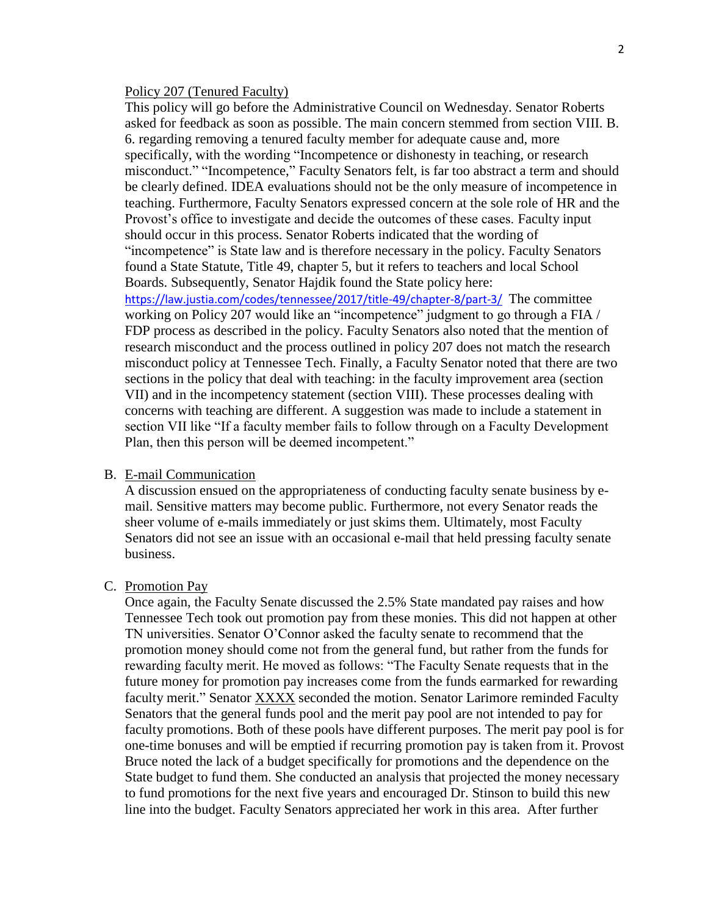#### Policy 207 (Tenured Faculty)

This policy will go before the Administrative Council on Wednesday. Senator Roberts asked for feedback as soon as possible. The main concern stemmed from section VIII. B. 6. regarding removing a tenured faculty member for adequate cause and, more specifically, with the wording "Incompetence or dishonesty in teaching, or research misconduct." "Incompetence," Faculty Senators felt, is far too abstract a term and should be clearly defined. IDEA evaluations should not be the only measure of incompetence in teaching. Furthermore, Faculty Senators expressed concern at the sole role of HR and the Provost's office to investigate and decide the outcomes of these cases. Faculty input should occur in this process. Senator Roberts indicated that the wording of "incompetence" is State law and is therefore necessary in the policy. Faculty Senators found a State Statute, Title 49, chapter 5, but it refers to teachers and local School Boards. Subsequently, Senator Hajdik found the State policy here: <https://law.justia.com/codes/tennessee/2017/title-49/chapter-8/part-3/> The committee working on Policy 207 would like an "incompetence" judgment to go through a FIA / FDP process as described in the policy. Faculty Senators also noted that the mention of research misconduct and the process outlined in policy 207 does not match the research misconduct policy at Tennessee Tech. Finally, a Faculty Senator noted that there are two sections in the policy that deal with teaching: in the faculty improvement area (section VII) and in the incompetency statement (section VIII). These processes dealing with concerns with teaching are different. A suggestion was made to include a statement in section VII like "If a faculty member fails to follow through on a Faculty Development Plan, then this person will be deemed incompetent."

#### B. E-mail Communication

A discussion ensued on the appropriateness of conducting faculty senate business by email. Sensitive matters may become public. Furthermore, not every Senator reads the sheer volume of e-mails immediately or just skims them. Ultimately, most Faculty Senators did not see an issue with an occasional e-mail that held pressing faculty senate business.

### C. Promotion Pay

Once again, the Faculty Senate discussed the 2.5% State mandated pay raises and how Tennessee Tech took out promotion pay from these monies. This did not happen at other TN universities. Senator O'Connor asked the faculty senate to recommend that the promotion money should come not from the general fund, but rather from the funds for rewarding faculty merit. He moved as follows: "The Faculty Senate requests that in the future money for promotion pay increases come from the funds earmarked for rewarding faculty merit." Senator XXXX seconded the motion. Senator Larimore reminded Faculty Senators that the general funds pool and the merit pay pool are not intended to pay for faculty promotions. Both of these pools have different purposes. The merit pay pool is for one-time bonuses and will be emptied if recurring promotion pay is taken from it. Provost Bruce noted the lack of a budget specifically for promotions and the dependence on the State budget to fund them. She conducted an analysis that projected the money necessary to fund promotions for the next five years and encouraged Dr. Stinson to build this new line into the budget. Faculty Senators appreciated her work in this area. After further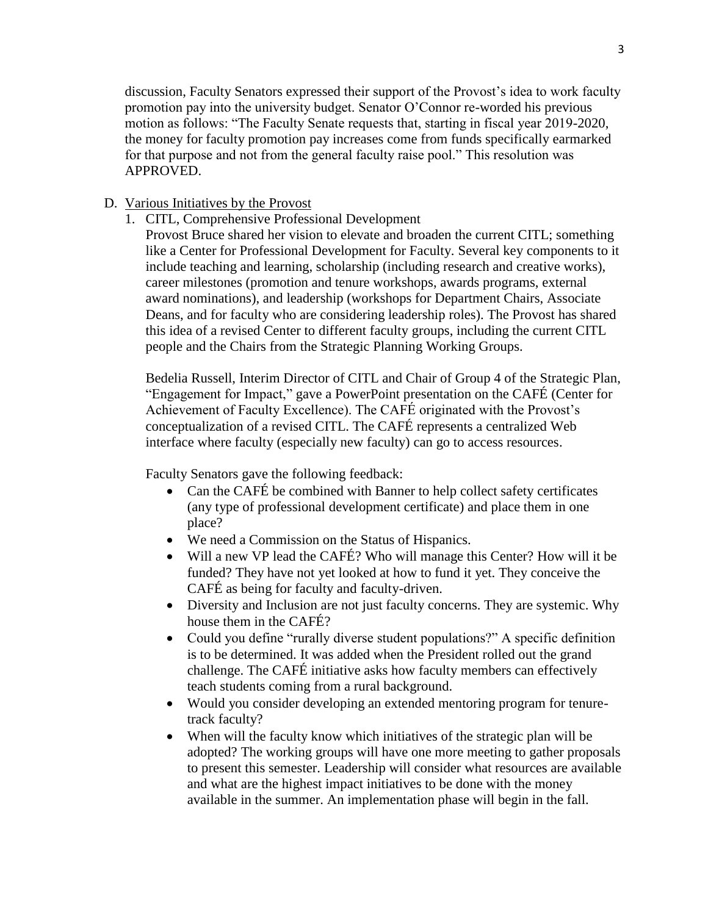discussion, Faculty Senators expressed their support of the Provost's idea to work faculty promotion pay into the university budget. Senator O'Connor re-worded his previous motion as follows: "The Faculty Senate requests that, starting in fiscal year 2019-2020, the money for faculty promotion pay increases come from funds specifically earmarked for that purpose and not from the general faculty raise pool." This resolution was APPROVED.

## D. Various Initiatives by the Provost

1. CITL, Comprehensive Professional Development

Provost Bruce shared her vision to elevate and broaden the current CITL; something like a Center for Professional Development for Faculty. Several key components to it include teaching and learning, scholarship (including research and creative works), career milestones (promotion and tenure workshops, awards programs, external award nominations), and leadership (workshops for Department Chairs, Associate Deans, and for faculty who are considering leadership roles). The Provost has shared this idea of a revised Center to different faculty groups, including the current CITL people and the Chairs from the Strategic Planning Working Groups.

Bedelia Russell, Interim Director of CITL and Chair of Group 4 of the Strategic Plan, "Engagement for Impact," gave a PowerPoint presentation on the CAFÉ (Center for Achievement of Faculty Excellence). The CAFÉ originated with the Provost's conceptualization of a revised CITL. The CAFÉ represents a centralized Web interface where faculty (especially new faculty) can go to access resources.

Faculty Senators gave the following feedback:

- Can the CAFÉ be combined with Banner to help collect safety certificates (any type of professional development certificate) and place them in one place?
- We need a Commission on the Status of Hispanics.
- Will a new VP lead the CAFÉ? Who will manage this Center? How will it be funded? They have not yet looked at how to fund it yet. They conceive the CAFÉ as being for faculty and faculty-driven.
- Diversity and Inclusion are not just faculty concerns. They are systemic. Why house them in the CAFÉ?
- Could you define "rurally diverse student populations?" A specific definition is to be determined. It was added when the President rolled out the grand challenge. The CAFÉ initiative asks how faculty members can effectively teach students coming from a rural background.
- Would you consider developing an extended mentoring program for tenuretrack faculty?
- When will the faculty know which initiatives of the strategic plan will be adopted? The working groups will have one more meeting to gather proposals to present this semester. Leadership will consider what resources are available and what are the highest impact initiatives to be done with the money available in the summer. An implementation phase will begin in the fall.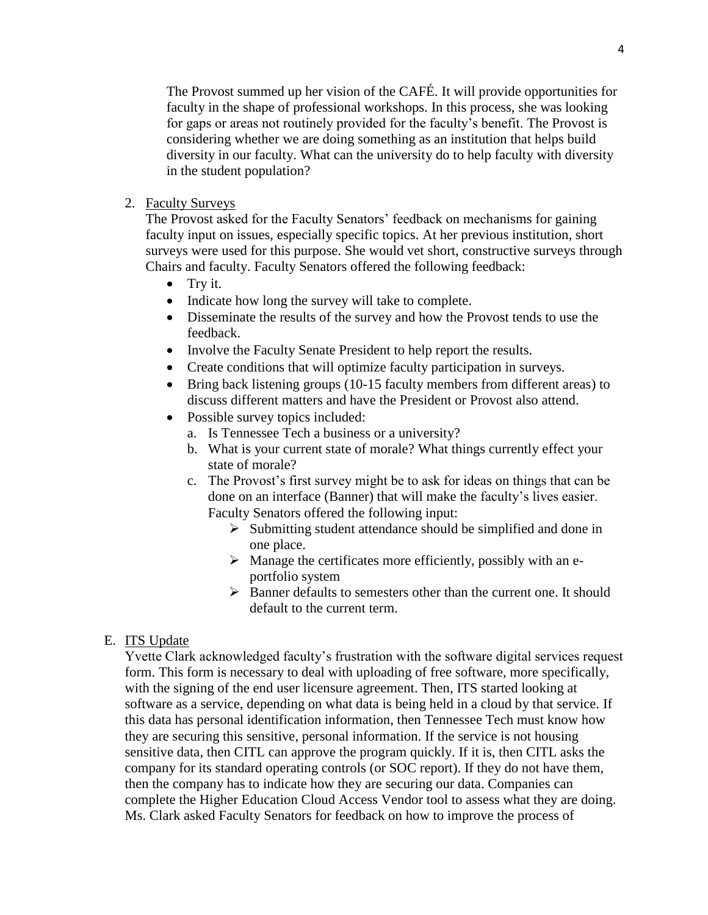The Provost summed up her vision of the CAFÉ. It will provide opportunities for faculty in the shape of professional workshops. In this process, she was looking for gaps or areas not routinely provided for the faculty's benefit. The Provost is considering whether we are doing something as an institution that helps build diversity in our faculty. What can the university do to help faculty with diversity in the student population?

## 2. Faculty Surveys

The Provost asked for the Faculty Senators' feedback on mechanisms for gaining faculty input on issues, especially specific topics. At her previous institution, short surveys were used for this purpose. She would vet short, constructive surveys through Chairs and faculty. Faculty Senators offered the following feedback:

- Try it.
- Indicate how long the survey will take to complete.
- Disseminate the results of the survey and how the Provost tends to use the feedback.
- Involve the Faculty Senate President to help report the results.
- Create conditions that will optimize faculty participation in surveys.
- Bring back listening groups (10-15 faculty members from different areas) to discuss different matters and have the President or Provost also attend.
- Possible survey topics included:
	- a. Is Tennessee Tech a business or a university?
	- b. What is your current state of morale? What things currently effect your state of morale?
	- c. The Provost's first survey might be to ask for ideas on things that can be done on an interface (Banner) that will make the faculty's lives easier. Faculty Senators offered the following input:
		- $\triangleright$  Submitting student attendance should be simplified and done in one place.
		- $\triangleright$  Manage the certificates more efficiently, possibly with an eportfolio system
		- $\triangleright$  Banner defaults to semesters other than the current one. It should default to the current term.

## E. ITS Update

Yvette Clark acknowledged faculty's frustration with the software digital services request form. This form is necessary to deal with uploading of free software, more specifically, with the signing of the end user licensure agreement. Then, ITS started looking at software as a service, depending on what data is being held in a cloud by that service. If this data has personal identification information, then Tennessee Tech must know how they are securing this sensitive, personal information. If the service is not housing sensitive data, then CITL can approve the program quickly. If it is, then CITL asks the company for its standard operating controls (or SOC report). If they do not have them, then the company has to indicate how they are securing our data. Companies can complete the Higher Education Cloud Access Vendor tool to assess what they are doing. Ms. Clark asked Faculty Senators for feedback on how to improve the process of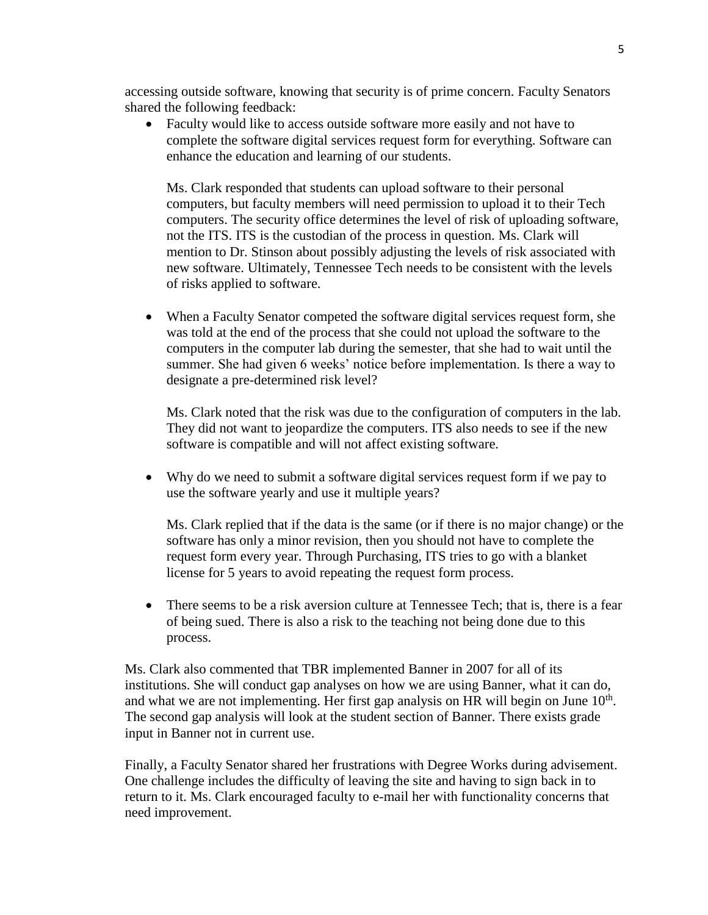accessing outside software, knowing that security is of prime concern. Faculty Senators shared the following feedback:

• Faculty would like to access outside software more easily and not have to complete the software digital services request form for everything. Software can enhance the education and learning of our students.

Ms. Clark responded that students can upload software to their personal computers, but faculty members will need permission to upload it to their Tech computers. The security office determines the level of risk of uploading software, not the ITS. ITS is the custodian of the process in question. Ms. Clark will mention to Dr. Stinson about possibly adjusting the levels of risk associated with new software. Ultimately, Tennessee Tech needs to be consistent with the levels of risks applied to software.

 When a Faculty Senator competed the software digital services request form, she was told at the end of the process that she could not upload the software to the computers in the computer lab during the semester, that she had to wait until the summer. She had given 6 weeks' notice before implementation. Is there a way to designate a pre-determined risk level?

Ms. Clark noted that the risk was due to the configuration of computers in the lab. They did not want to jeopardize the computers. ITS also needs to see if the new software is compatible and will not affect existing software.

 Why do we need to submit a software digital services request form if we pay to use the software yearly and use it multiple years?

Ms. Clark replied that if the data is the same (or if there is no major change) or the software has only a minor revision, then you should not have to complete the request form every year. Through Purchasing, ITS tries to go with a blanket license for 5 years to avoid repeating the request form process.

• There seems to be a risk aversion culture at Tennessee Tech; that is, there is a fear of being sued. There is also a risk to the teaching not being done due to this process.

Ms. Clark also commented that TBR implemented Banner in 2007 for all of its institutions. She will conduct gap analyses on how we are using Banner, what it can do, and what we are not implementing. Her first gap analysis on HR will begin on June  $10<sup>th</sup>$ . The second gap analysis will look at the student section of Banner. There exists grade input in Banner not in current use.

Finally, a Faculty Senator shared her frustrations with Degree Works during advisement. One challenge includes the difficulty of leaving the site and having to sign back in to return to it. Ms. Clark encouraged faculty to e-mail her with functionality concerns that need improvement.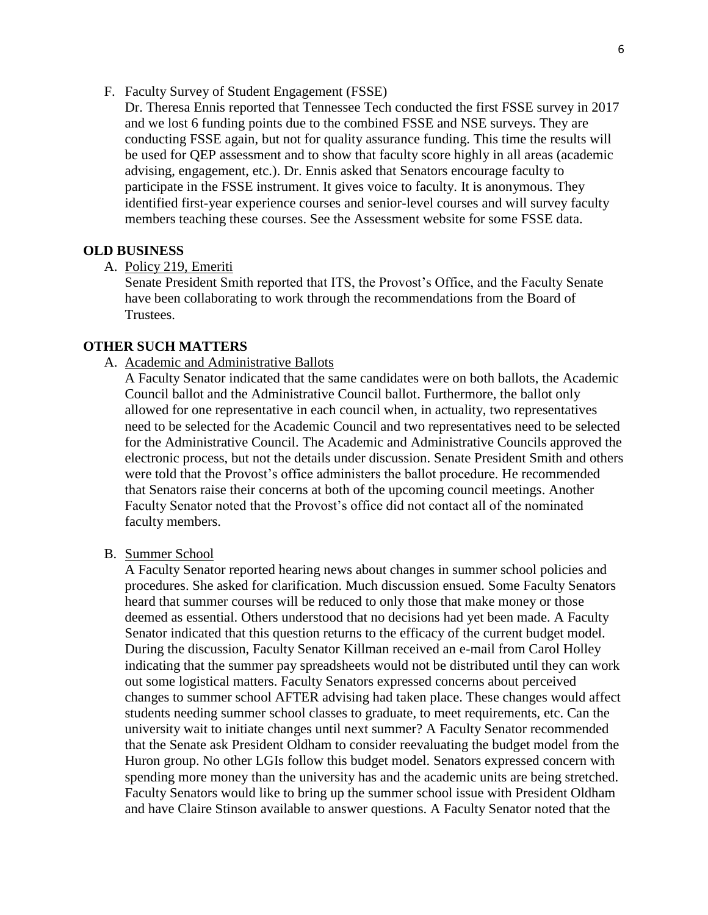F. Faculty Survey of Student Engagement (FSSE)

Dr. Theresa Ennis reported that Tennessee Tech conducted the first FSSE survey in 2017 and we lost 6 funding points due to the combined FSSE and NSE surveys. They are conducting FSSE again, but not for quality assurance funding. This time the results will be used for QEP assessment and to show that faculty score highly in all areas (academic advising, engagement, etc.). Dr. Ennis asked that Senators encourage faculty to participate in the FSSE instrument. It gives voice to faculty. It is anonymous. They identified first-year experience courses and senior-level courses and will survey faculty members teaching these courses. See the Assessment website for some FSSE data.

### **OLD BUSINESS**

## A. Policy 219, Emeriti

Senate President Smith reported that ITS, the Provost's Office, and the Faculty Senate have been collaborating to work through the recommendations from the Board of Trustees.

## **OTHER SUCH MATTERS**

A. Academic and Administrative Ballots

A Faculty Senator indicated that the same candidates were on both ballots, the Academic Council ballot and the Administrative Council ballot. Furthermore, the ballot only allowed for one representative in each council when, in actuality, two representatives need to be selected for the Academic Council and two representatives need to be selected for the Administrative Council. The Academic and Administrative Councils approved the electronic process, but not the details under discussion. Senate President Smith and others were told that the Provost's office administers the ballot procedure. He recommended that Senators raise their concerns at both of the upcoming council meetings. Another Faculty Senator noted that the Provost's office did not contact all of the nominated faculty members.

## B. Summer School

A Faculty Senator reported hearing news about changes in summer school policies and procedures. She asked for clarification. Much discussion ensued. Some Faculty Senators heard that summer courses will be reduced to only those that make money or those deemed as essential. Others understood that no decisions had yet been made. A Faculty Senator indicated that this question returns to the efficacy of the current budget model. During the discussion, Faculty Senator Killman received an e-mail from Carol Holley indicating that the summer pay spreadsheets would not be distributed until they can work out some logistical matters. Faculty Senators expressed concerns about perceived changes to summer school AFTER advising had taken place. These changes would affect students needing summer school classes to graduate, to meet requirements, etc. Can the university wait to initiate changes until next summer? A Faculty Senator recommended that the Senate ask President Oldham to consider reevaluating the budget model from the Huron group. No other LGIs follow this budget model. Senators expressed concern with spending more money than the university has and the academic units are being stretched. Faculty Senators would like to bring up the summer school issue with President Oldham and have Claire Stinson available to answer questions. A Faculty Senator noted that the